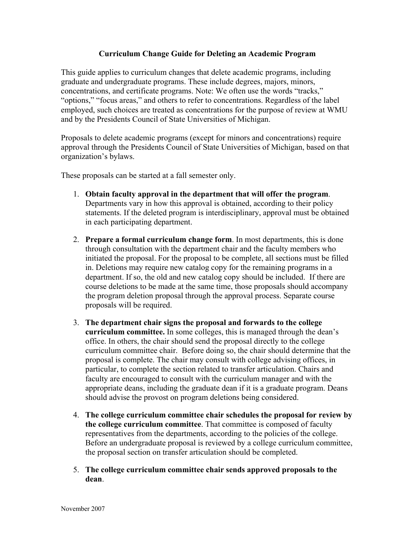## **Curriculum Change Guide for Deleting an Academic Program**

This guide applies to curriculum changes that delete academic programs, including graduate and undergraduate programs. These include degrees, majors, minors, concentrations, and certificate programs. Note: We often use the words "tracks," "options," "focus areas," and others to refer to concentrations. Regardless of the label employed, such choices are treated as concentrations for the purpose of review at WMU and by the Presidents Council of State Universities of Michigan.

Proposals to delete academic programs (except for minors and concentrations) require approval through the Presidents Council of State Universities of Michigan, based on that organization's bylaws.

These proposals can be started at a fall semester only.

- 1. **Obtain faculty approval in the department that will offer the program**. Departments vary in how this approval is obtained, according to their policy statements. If the deleted program is interdisciplinary, approval must be obtained in each participating department.
- 2. **Prepare a formal curriculum change form**. In most departments, this is done through consultation with the department chair and the faculty members who initiated the proposal. For the proposal to be complete, all sections must be filled in. Deletions may require new catalog copy for the remaining programs in a department. If so, the old and new catalog copy should be included. If there are course deletions to be made at the same time, those proposals should accompany the program deletion proposal through the approval process. Separate course proposals will be required.
- 3. **The department chair signs the proposal and forwards to the college curriculum committee.** In some colleges, this is managed through the dean's office. In others, the chair should send the proposal directly to the college curriculum committee chair. Before doing so, the chair should determine that the proposal is complete. The chair may consult with college advising offices, in particular, to complete the section related to transfer articulation. Chairs and faculty are encouraged to consult with the curriculum manager and with the appropriate deans, including the graduate dean if it is a graduate program. Deans should advise the provost on program deletions being considered.
- 4. **The college curriculum committee chair schedules the proposal for review by the college curriculum committee**. That committee is composed of faculty representatives from the departments, according to the policies of the college. Before an undergraduate proposal is reviewed by a college curriculum committee, the proposal section on transfer articulation should be completed.
- 5. **The college curriculum committee chair sends approved proposals to the dean**.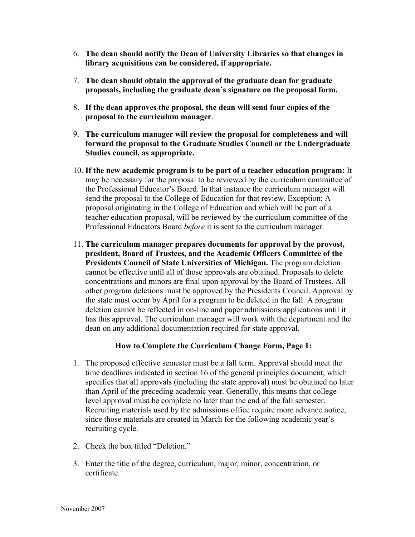- 6. **The dean should notify the Dean of University Libraries so that changes in library acquisitions can be considered, if appropriate.**
- 7. **The dean should obtain the approval of the graduate dean for graduate proposals, including the graduate dean's signature on the proposal form.**
- 8. **If the dean approves the proposal, the dean will send four copies of the proposal to the curriculum manager**.
- 9. **The curriculum manager will review the proposal for completeness and will forward the proposal to the Graduate Studies Council or the Undergraduate Studies council, as appropriate.**
- 10. **If the new academic program is to be part of a teacher education program:** It may be necessary for the proposal to be reviewed by the curriculum committee of the Professional Educator's Board. In that instance the curriculum manager will send the proposal to the College of Education for that review. Exception: A proposal originating in the College of Education and which will be part of a teacher education proposal, will be reviewed by the curriculum committee of the Professional Educators Board *before* it is sent to the curriculum manager.
- 11. **The curriculum manager prepares documents for approval by the provost, president, Board of Trustees, and the Academic Officers Committee of the Presidents Council of State Universities of Michigan.** The program deletion cannot be effective until all of those approvals are obtained. Proposals to delete concentrations and minors are final upon approval by the Board of Trustees. All other program deletions must be approved by the Presidents Council. Approval by the state must occur by April for a program to be deleted in the fall. A program deletion cannot be reflected in on-line and paper admissions applications until it has this approval. The curriculum manager will work with the department and the dean on any additional documentation required for state approval.

## **How to Complete the Curriculum Change Form, Page 1:**

- 1. The proposed effective semester must be a fall term. Approval should meet the time deadlines indicated in section 16 of the general principles document, which specifies that all approvals (including the state approval) must be obtained no later than April of the preceding academic year. Generally, this means that collegelevel approval must be complete no later than the end of the fall semester. Recruiting materials used by the admissions office require more advance notice, since those materials are created in March for the following academic year's recruiting cycle.
- 2. Check the box titled "Deletion."
- 3. Enter the title of the degree, curriculum, major, minor, concentration, or certificate.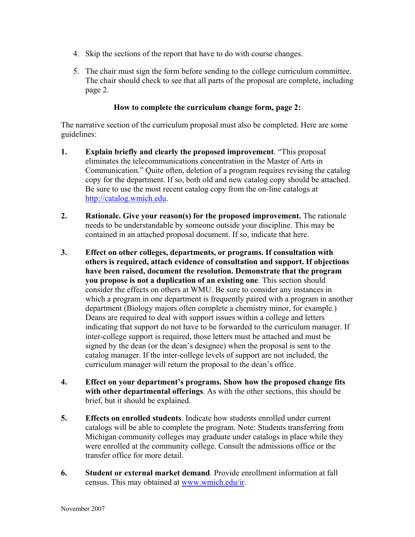- 4. Skip the sections of the report that have to do with course changes.
- 5. The chair must sign the form before sending to the college curriculum committee. The chair should check to see that all parts of the proposal are complete, including page 2.

## **How to complete the curriculum change form, page 2:**

The narrative section of the curriculum proposal must also be completed. Here are some guidelines:

- **1. Explain briefly and clearly the proposed improvement**. "This proposal eliminates the telecommunications concentration in the Master of Arts in Communication." Quite often, deletion of a program requires revising the catalog copy for the department. If so, both old and new catalog copy should be attached. Be sure to use the most recent catalog copy from the on-line catalogs at http://catalog.wmich.edu.
- **2. Rationale. Give your reason(s) for the proposed improvement.** The rationale needs to be understandable by someone outside your discipline. This may be contained in an attached proposal document. If so, indicate that here.
- **3. Effect on other colleges, departments, or programs. If consultation with others is required, attach evidence of consultation and support. If objections have been raised, document the resolution. Demonstrate that the program you propose is not a duplication of an existing one**. This section should consider the effects on others at WMU. Be sure to consider any instances in which a program in one department is frequently paired with a program in another department (Biology majors often complete a chemistry minor, for example.) Deans are required to deal with support issues within a college and letters indicating that support do not have to be forwarded to the curriculum manager. If inter-college support is required, those letters must be attached and must be signed by the dean (or the dean's designee) when the proposal is sent to the catalog manager. If the inter-college levels of support are not included, the curriculum manager will return the proposal to the dean's office.
- **4. Effect on your department's programs. Show how the proposed change fits with other departmental offerings**. As with the other sections, this should be brief, but it should be explained.
- **5. Effects on enrolled students**. Indicate how students enrolled under current catalogs will be able to complete the program. Note: Students transferring from Michigan community colleges may graduate under catalogs in place while they were enrolled at the community college. Consult the admissions office or the transfer office for more detail.
- **6. Student or external market demand**. Provide enrollment information at fall census. This may obtained at www.wmich.edu/ir.